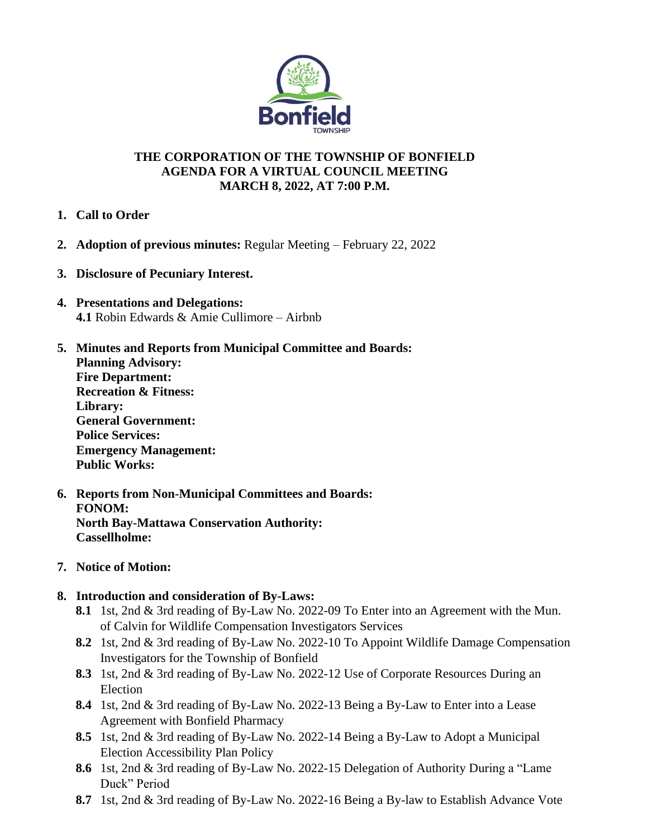

# **THE CORPORATION OF THE TOWNSHIP OF BONFIELD AGENDA FOR A VIRTUAL COUNCIL MEETING MARCH 8, 2022, AT 7:00 P.M.**

- **1. Call to Order**
- **2. Adoption of previous minutes:** Regular Meeting February 22, 2022
- **3. Disclosure of Pecuniary Interest.**
- **4. Presentations and Delegations: 4.1** Robin Edwards & Amie Cullimore – Airbnb
- **5. Minutes and Reports from Municipal Committee and Boards: Planning Advisory: Fire Department: Recreation & Fitness: Library: General Government: Police Services: Emergency Management: Public Works:**
- **6. Reports from Non-Municipal Committees and Boards: FONOM: North Bay-Mattawa Conservation Authority: Cassellholme:**
- **7. Notice of Motion:**
- **8. Introduction and consideration of By-Laws:**
	- **8.1** 1st, 2nd & 3rd reading of By-Law No. 2022-09 To Enter into an Agreement with the Mun. of Calvin for Wildlife Compensation Investigators Services
	- **8.2** 1st, 2nd & 3rd reading of By-Law No. 2022-10 To Appoint Wildlife Damage Compensation Investigators for the Township of Bonfield
	- **8.3** 1st, 2nd & 3rd reading of By-Law No. 2022-12 Use of Corporate Resources During an Election
	- **8.4** 1st, 2nd & 3rd reading of By-Law No. 2022-13 Being a By-Law to Enter into a Lease Agreement with Bonfield Pharmacy
	- **8.5** 1st, 2nd & 3rd reading of By-Law No. 2022-14 Being a By-Law to Adopt a Municipal Election Accessibility Plan Policy
	- **8.6** 1st, 2nd & 3rd reading of By-Law No. 2022-15 Delegation of Authority During a "Lame Duck" Period
	- **8.7** 1st, 2nd & 3rd reading of By-Law No. 2022-16 Being a By-law to Establish Advance Vote